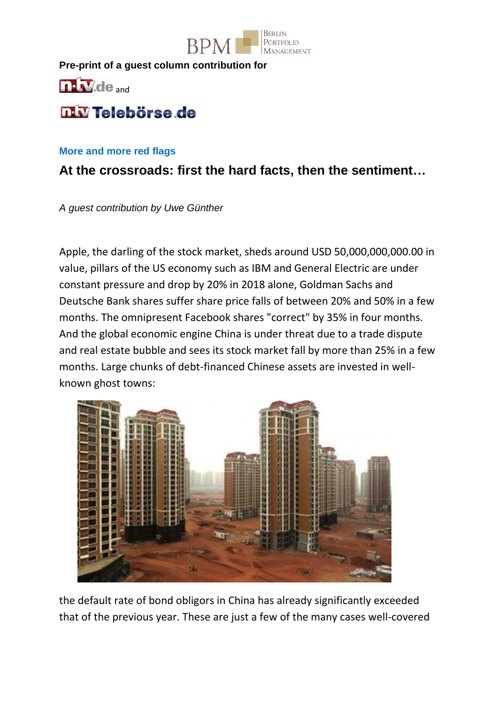

**Pre-print of a guest column contribution for**



# **TIM** Telebörse de

#### **More and more red flags**

## **At the crossroads: first the hard facts, then the sentiment…**

*A guest contribution by Uwe Günther*

Apple, the darling of the stock market, sheds around USD 50,000,000,000.00 in value, pillars of the US economy such as IBM and General Electric are under constant pressure and drop by 20% in 2018 alone, Goldman Sachs and Deutsche Bank shares suffer share price falls of between 20% and 50% in a few months. The omnipresent Facebook shares "correct" by 35% in four months. And the global economic engine China is under threat due to a trade dispute and real estate bubble and sees its stock market fall by more than 25% in a few months. Large chunks of debt-financed Chinese assets are invested in wellknown ghost towns:



the default rate of bond obligors in China has already significantly exceeded that of the previous year. These are just a few of the many cases well-covered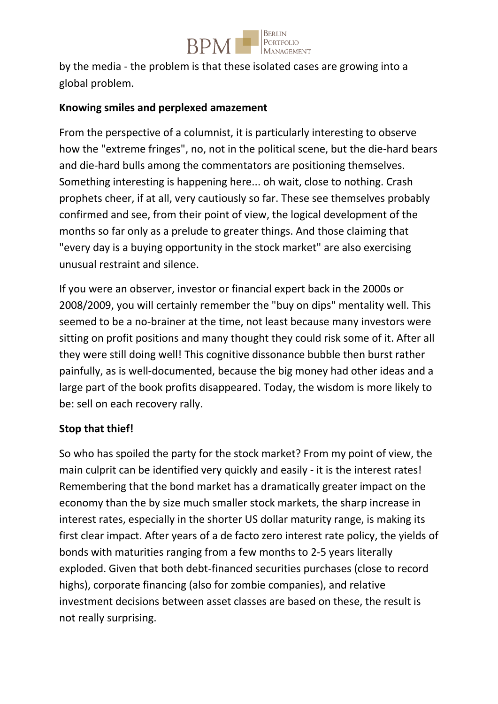

by the media - the problem is that these isolated cases are growing into a global problem.

#### **Knowing smiles and perplexed amazement**

From the perspective of a columnist, it is particularly interesting to observe how the "extreme fringes", no, not in the political scene, but the die-hard bears and die-hard bulls among the commentators are positioning themselves. Something interesting is happening here... oh wait, close to nothing. Crash prophets cheer, if at all, very cautiously so far. These see themselves probably confirmed and see, from their point of view, the logical development of the months so far only as a prelude to greater things. And those claiming that "every day is a buying opportunity in the stock market" are also exercising unusual restraint and silence.

If you were an observer, investor or financial expert back in the 2000s or 2008/2009, you will certainly remember the "buy on dips" mentality well. This seemed to be a no-brainer at the time, not least because many investors were sitting on profit positions and many thought they could risk some of it. After all they were still doing well! This cognitive dissonance bubble then burst rather painfully, as is well-documented, because the big money had other ideas and a large part of the book profits disappeared. Today, the wisdom is more likely to be: sell on each recovery rally.

#### **Stop that thief!**

So who has spoiled the party for the stock market? From my point of view, the main culprit can be identified very quickly and easily - it is the interest rates! Remembering that the bond market has a dramatically greater impact on the economy than the by size much smaller stock markets, the sharp increase in interest rates, especially in the shorter US dollar maturity range, is making its first clear impact. After years of a de facto zero interest rate policy, the yields of bonds with maturities ranging from a few months to 2-5 years literally exploded. Given that both debt-financed securities purchases (close to record highs), corporate financing (also for zombie companies), and relative investment decisions between asset classes are based on these, the result is not really surprising.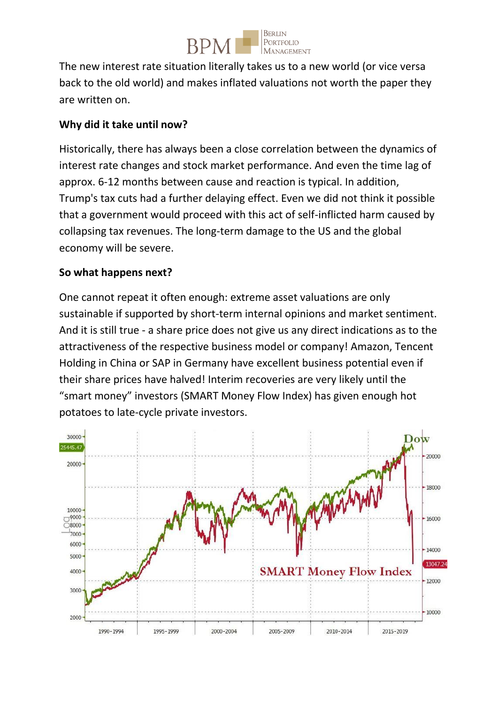

The new interest rate situation literally takes us to a new world (or vice versa back to the old world) and makes inflated valuations not worth the paper they are written on.

### **Why did it take until now?**

Historically, there has always been a close correlation between the dynamics of interest rate changes and stock market performance. And even the time lag of approx. 6-12 months between cause and reaction is typical. In addition, Trump's tax cuts had a further delaying effect. Even we did not think it possible that a government would proceed with this act of self-inflicted harm caused by collapsing tax revenues. The long-term damage to the US and the global economy will be severe.

#### **So what happens next?**

One cannot repeat it often enough: extreme asset valuations are only sustainable if supported by short-term internal opinions and market sentiment. And it is still true - a share price does not give us any direct indications as to the attractiveness of the respective business model or company! Amazon, Tencent Holding in China or SAP in Germany have excellent business potential even if their share prices have halved! Interim recoveries are very likely until the "smart money" investors (SMART Money Flow Index) has given enough hot potatoes to late-cycle private investors.